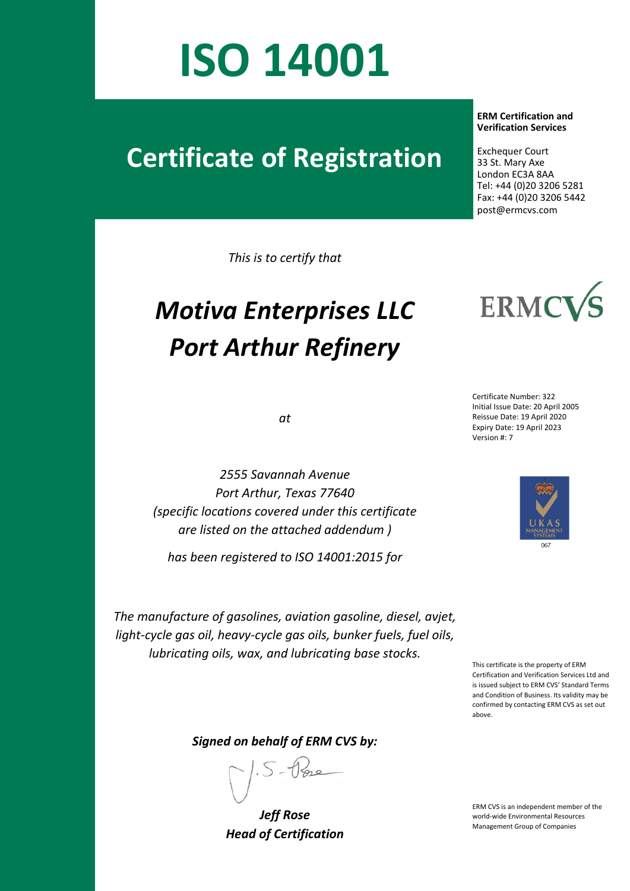## **ISO 14001**

## **Certificate of Registration**

*This is to certify that*

## *Motiva Enterprises LLC Port Arthur Refinery*

*at*

*2555 Savannah Avenue Port Arthur, Texas 77640*  Exchequer Court

 **ERM Certification and Verification Services**

 33 St. Mary Axe London EC3A 8AA Tel: +44 (0)20 3206 5281 Fax: +44 (0)20 3206 5442 post@ermcvs.com



**ERMC** 



*(specific locations covered under this certificate are listed on the attached addendum ) has been registered to ISO 14001:2015 for*

*The manufacture of gasolines, aviation gasoline, diesel, avjet, light-cycle gas oil, heavy-cycle gas oils, bunker fuels, fuel oils, lubricating oils, wax, and lubricating base stocks.*

This certificate is the property of ERM Certification and Verification Services Ltd and is issued subject to ERM CVS' Standard Terms and Condition of Business. Its validity may be confirmed by contacting ERM CVS as set out above.

*Signed on behalf of ERM CVS by:*

*Jeff Rose Head of Certification*

ERM CVS is an independent member of the world-wide Environmental Resources Management Group of Companies